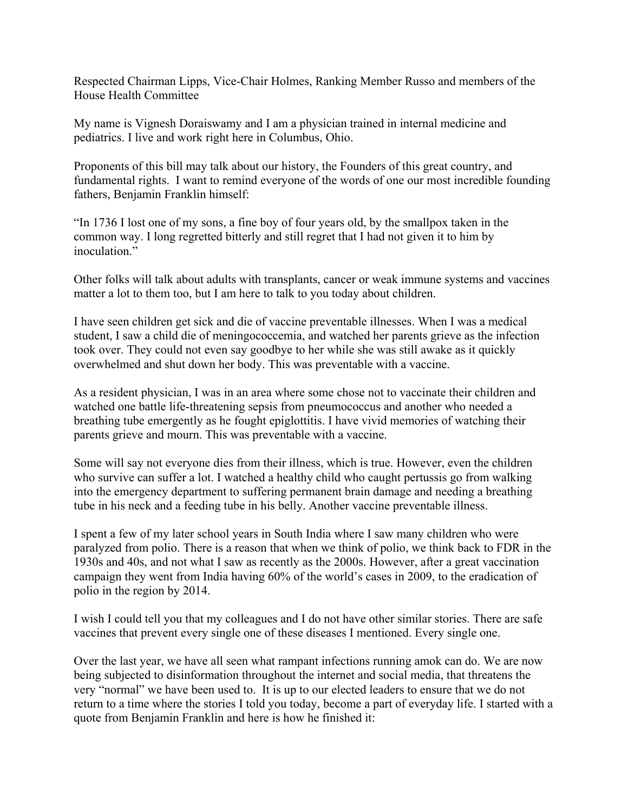Respected Chairman Lipps, Vice-Chair Holmes, Ranking Member Russo and members of the House Health Committee

My name is Vignesh Doraiswamy and I am a physician trained in internal medicine and pediatrics. I live and work right here in Columbus, Ohio.

Proponents of this bill may talk about our history, the Founders of this great country, and fundamental rights. I want to remind everyone of the words of one our most incredible founding fathers, Benjamin Franklin himself:

"In 1736 I lost one of my sons, a fine boy of four years old, by the smallpox taken in the common way. I long regretted bitterly and still regret that I had not given it to him by inoculation."

Other folks will talk about adults with transplants, cancer or weak immune systems and vaccines matter a lot to them too, but I am here to talk to you today about children.

I have seen children get sick and die of vaccine preventable illnesses. When I was a medical student, I saw a child die of meningococcemia, and watched her parents grieve as the infection took over. They could not even say goodbye to her while she was still awake as it quickly overwhelmed and shut down her body. This was preventable with a vaccine.

As a resident physician, I was in an area where some chose not to vaccinate their children and watched one battle life-threatening sepsis from pneumococcus and another who needed a breathing tube emergently as he fought epiglottitis. I have vivid memories of watching their parents grieve and mourn. This was preventable with a vaccine.

Some will say not everyone dies from their illness, which is true. However, even the children who survive can suffer a lot. I watched a healthy child who caught pertussis go from walking into the emergency department to suffering permanent brain damage and needing a breathing tube in his neck and a feeding tube in his belly. Another vaccine preventable illness.

I spent a few of my later school years in South India where I saw many children who were paralyzed from polio. There is a reason that when we think of polio, we think back to FDR in the 1930s and 40s, and not what I saw as recently as the 2000s. However, after a great vaccination campaign they went from India having 60% of the world's cases in 2009, to the eradication of polio in the region by 2014.

I wish I could tell you that my colleagues and I do not have other similar stories. There are safe vaccines that prevent every single one of these diseases I mentioned. Every single one.

Over the last year, we have all seen what rampant infections running amok can do. We are now being subjected to disinformation throughout the internet and social media, that threatens the very "normal" we have been used to. It is up to our elected leaders to ensure that we do not return to a time where the stories I told you today, become a part of everyday life. I started with a quote from Benjamin Franklin and here is how he finished it: